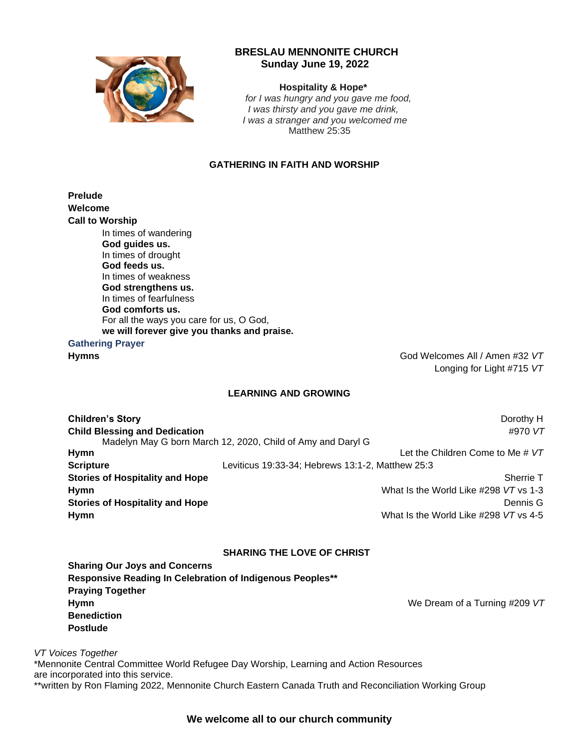

# **BRESLAU MENNONITE CHURCH Sunday June 19, 2022**

 **Hospitality & Hope\***

 *for I was hungry and you gave me food, I was thirsty and you gave me drink, I was a stranger and you welcomed me* Matthew 25:35

## **GATHERING IN FAITH AND WORSHIP**

**Prelude Welcome Call to Worship** In times of wandering **God guides us.** In times of drought **God feeds us.** In times of weakness **God strengthens us.** In times of fearfulness **God comforts us.** For all the ways you care for us, O God, **we will forever give you thanks and praise.**

**Gathering Prayer** 

**Hymns** God Welcomes All / Amen #32 *VT* Longing for Light #715 *VT*

#### **LEARNING AND GROWING**

**Children's Story** Dorothy H **Child Blessing and Dedication** #970 *VT* Madelyn May G born March 12, 2020, Child of Amy and Daryl G **Hymn** Let the Children Come to Me # *VT* **Scripture** Leviticus 19:33-34; Hebrews 13:1-2, Matthew 25:3 **Stories of Hospitality and Hope**  Sherrie T **Sherrie T Sherrie T Sherrie T Sherrie T Sherrie T Hymn** What Is the World Like #298 *VT* vs 1-3 **Stories of Hospitality and Hope**  Dennis G **Dennis G Dennis G Dennis G Dennis G Hymn** What Is the World Like #298 *VT* vs 4-5

### **SHARING THE LOVE OF CHRIST**

**Sharing Our Joys and Concerns Responsive Reading In Celebration of Indigenous Peoples\*\* Praying Together Hymn We Dream of a Turning #209 VT Benediction Postlude** 

*VT Voices Together* \*Mennonite Central Committee World Refugee Day Worship, Learning and Action Resources are incorporated into this service. \*\*written by Ron Flaming 2022, Mennonite Church Eastern Canada Truth and Reconciliation Working Group

### **We welcome all to our church community**